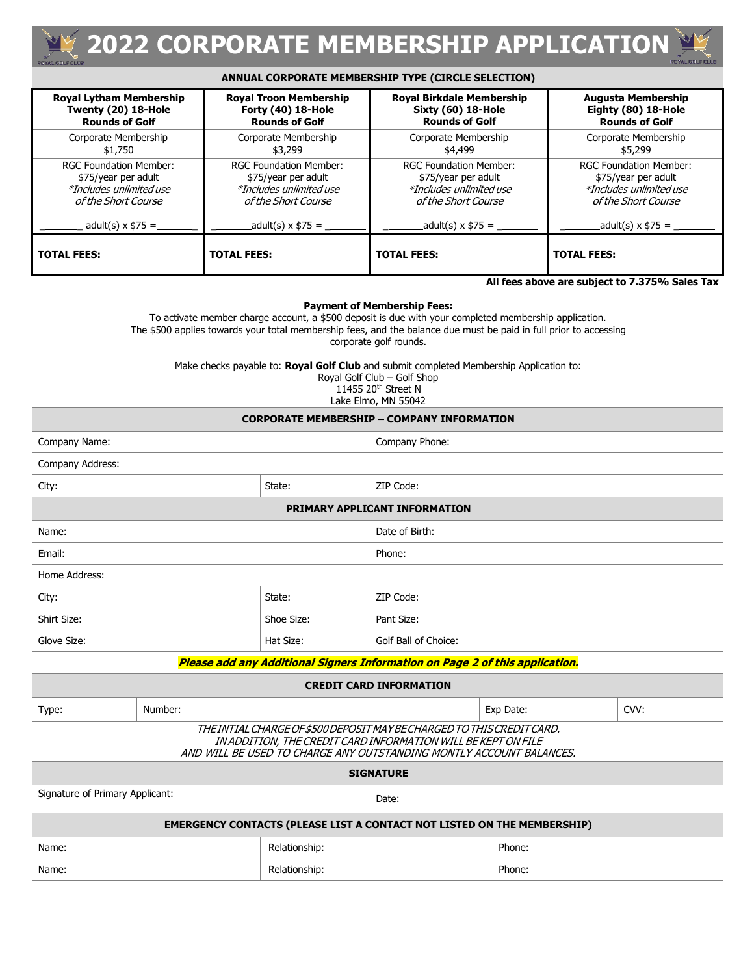